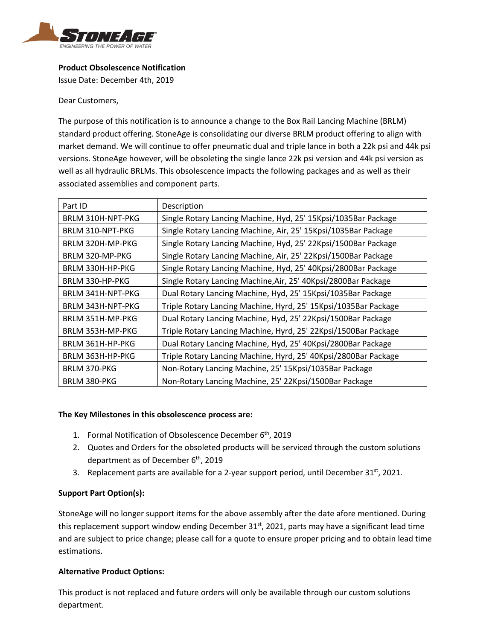

## **Product Obsolescence Notification**

Issue Date: December 4th, 2019

Dear Customers,

The purpose of this notification is to announce a change to the Box Rail Lancing Machine (BRLM) standard product offering. StoneAge is consolidating our diverse BRLM product offering to align with market demand. We will continue to offer pneumatic dual and triple lance in both a 22k psi and 44k psi versions. StoneAge however, will be obsoleting the single lance 22k psi version and 44k psi version as well as all hydraulic BRLMs. This obsolescence impacts the following packages and as well as their associated assemblies and component parts.

| Part ID                  | Description                                                     |
|--------------------------|-----------------------------------------------------------------|
| <b>BRLM 310H-NPT-PKG</b> | Single Rotary Lancing Machine, Hyd, 25' 15Kpsi/1035Bar Package  |
| BRLM 310-NPT-PKG         | Single Rotary Lancing Machine, Air, 25' 15Kpsi/1035Bar Package  |
| BRLM 320H-MP-PKG         | Single Rotary Lancing Machine, Hyd, 25' 22Kpsi/1500Bar Package  |
| BRLM 320-MP-PKG          | Single Rotary Lancing Machine, Air, 25' 22Kpsi/1500Bar Package  |
| BRLM 330H-HP-PKG         | Single Rotary Lancing Machine, Hyd, 25' 40Kpsi/2800Bar Package  |
| BRLM 330-HP-PKG          | Single Rotary Lancing Machine, Air, 25' 40Kpsi/2800Bar Package  |
| <b>BRLM 341H-NPT-PKG</b> | Dual Rotary Lancing Machine, Hyd, 25' 15Kpsi/1035Bar Package    |
| <b>BRLM 343H-NPT-PKG</b> | Triple Rotary Lancing Machine, Hyrd, 25' 15Kpsi/1035Bar Package |
| BRLM 351H-MP-PKG         | Dual Rotary Lancing Machine, Hyd, 25' 22Kpsi/1500Bar Package    |
| BRLM 353H-MP-PKG         | Triple Rotary Lancing Machine, Hyrd, 25' 22Kpsi/1500Bar Package |
| BRLM 361H-HP-PKG         | Dual Rotary Lancing Machine, Hyd, 25' 40Kpsi/2800Bar Package    |
| BRLM 363H-HP-PKG         | Triple Rotary Lancing Machine, Hyrd, 25' 40Kpsi/2800Bar Package |
| <b>BRLM 370-PKG</b>      | Non-Rotary Lancing Machine, 25' 15Kpsi/1035Bar Package          |
| <b>BRLM 380-PKG</b>      | Non-Rotary Lancing Machine, 25' 22Kpsi/1500Bar Package          |

## **The Key Milestones in this obsolescence process are:**

- 1. Formal Notification of Obsolescence December 6<sup>th</sup>, 2019
- 2. Quotes and Orders for the obsoleted products will be serviced through the custom solutions department as of December  $6<sup>th</sup>$ , 2019
- 3. Replacement parts are available for a 2-year support period, until December  $31<sup>st</sup>$ , 2021.

## **Support Part Option(s):**

StoneAge will no longer support items for the above assembly after the date afore mentioned. During this replacement support window ending December 31<sup>st</sup>, 2021, parts may have a significant lead time and are subject to price change; please call for a quote to ensure proper pricing and to obtain lead time estimations.

## **Alternative Product Options:**

This product is not replaced and future orders will only be available through our custom solutions department.